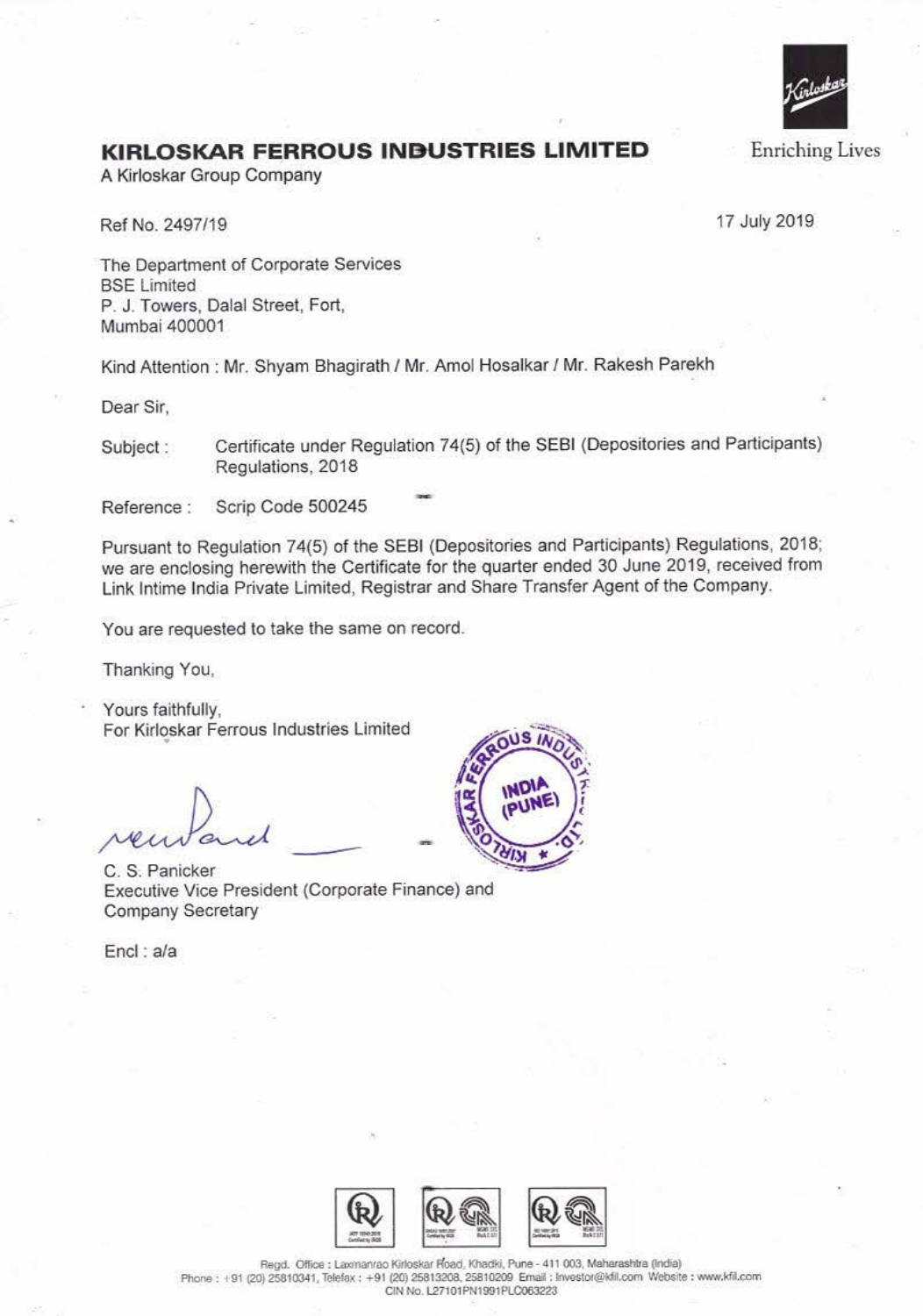

## **KIRLOSKAR FERROUS INBUSTRIES LIMITED**

A Kirloskar Group Company

Ref No. 2497/19

17 July 2019

The Department of Corporate Services BSE Limited P. J. Towers, Dalal Street, Fort, Mumbai 400001

Kind Attention : Mr. Shyam Bhagirath I Mr. Amo! Hosalkar I Mr. Rakesh Parekh

Dear Sir,

Subject : Certificate under Regulation 74(5) of the SEBI (Depositories and Participants) Regulations, 2018

Reference : Scrip Code 500245

Pursuant to Regulation 74(5) of the SEBI (Depositories and Participants) Regulations, 2018; we are enclosing herewith the Certificate for the quarter ended 30 June 2019, received from Link Jntime India Private Limited, Registrar and Share Transfer Agent of the Company.

You are requested to take the same on record.

Thanking You,

Yours faithfully, For Kirloskar Ferrous Industries limited •

C. S. Panicker Executive Vice President (Corporate Finance) and Company Secretary

Encl : a/a





Regd. Office : Laxmanrao Kirloskar Road, Khadki, Pune - 411 003, Maharashtra (India) Phone: +91 (20) 25810341, Telefax : +91 (20) 25813208, 25810209 Email: Investor@kfil.com Website : www.kfil.com **CIN No. L27101PN1991P'LC063223**